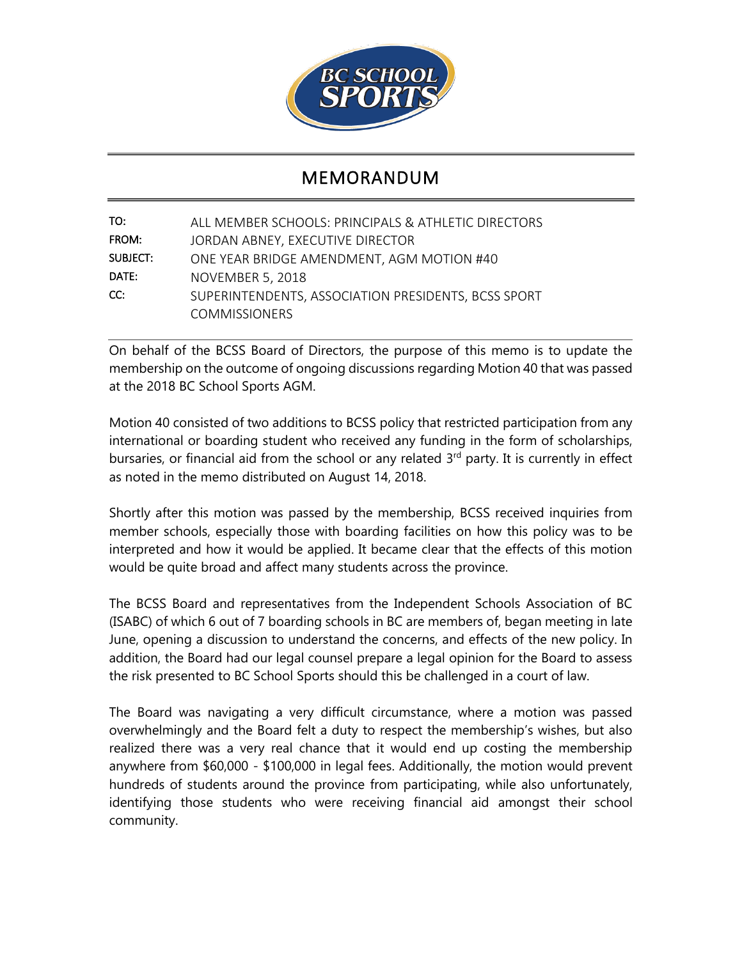

## MEMORANDUM

| TO:      | ALL MEMBER SCHOOLS: PRINCIPALS & ATHLETIC DIRECTORS |
|----------|-----------------------------------------------------|
| FROM:    | JORDAN ABNEY, EXECUTIVE DIRECTOR                    |
| SUBJECT: | ONE YEAR BRIDGE AMENDMENT, AGM MOTION #40           |
| DATE:    | <b>NOVEMBER 5, 2018</b>                             |
| CC:      | SUPERINTENDENTS, ASSOCIATION PRESIDENTS, BCSS SPORT |
|          | <b>COMMISSIONERS</b>                                |

On behalf of the BCSS Board of Directors, the purpose of this memo is to update the membership on the outcome of ongoing discussions regarding Motion 40 that was passed at the 2018 BC School Sports AGM.

Motion 40 consisted of two additions to BCSS policy that restricted participation from any international or boarding student who received any funding in the form of scholarships, bursaries, or financial aid from the school or any related 3<sup>rd</sup> party. It is currently in effect as noted in the memo distributed on August 14, 2018.

Shortly after this motion was passed by the membership, BCSS received inquiries from member schools, especially those with boarding facilities on how this policy was to be interpreted and how it would be applied. It became clear that the effects of this motion would be quite broad and affect many students across the province.

The BCSS Board and representatives from the Independent Schools Association of BC (ISABC) of which 6 out of 7 boarding schools in BC are members of, began meeting in late June, opening a discussion to understand the concerns, and effects of the new policy. In addition, the Board had our legal counsel prepare a legal opinion for the Board to assess the risk presented to BC School Sports should this be challenged in a court of law.

The Board was navigating a very difficult circumstance, where a motion was passed overwhelmingly and the Board felt a duty to respect the membership's wishes, but also realized there was a very real chance that it would end up costing the membership anywhere from \$60,000 - \$100,000 in legal fees. Additionally, the motion would prevent hundreds of students around the province from participating, while also unfortunately, identifying those students who were receiving financial aid amongst their school community.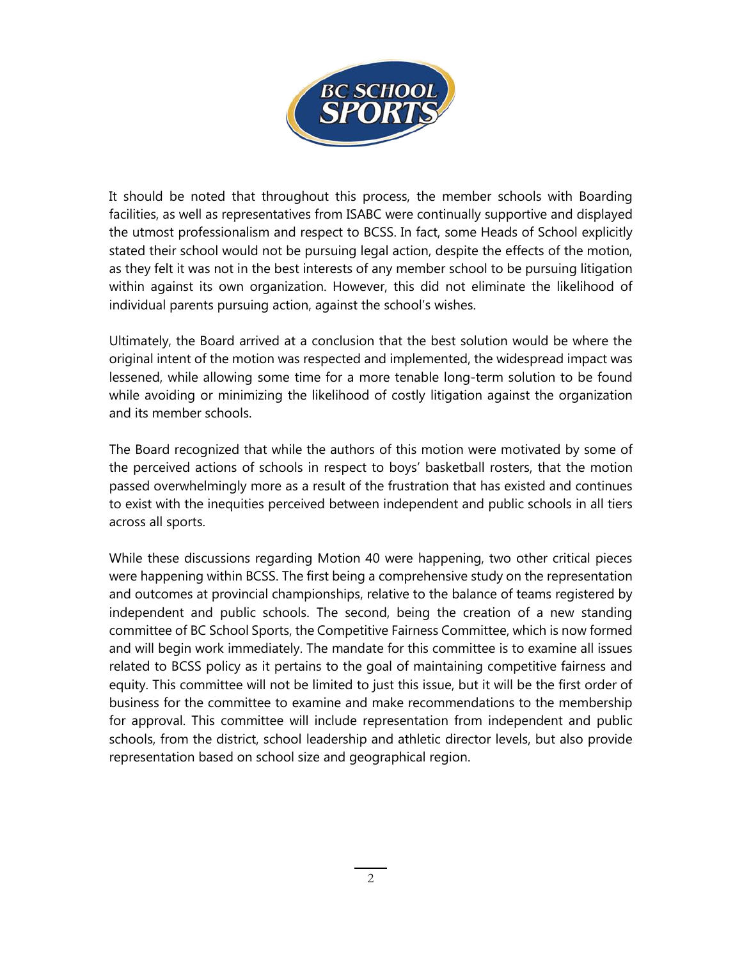

It should be noted that throughout this process, the member schools with Boarding facilities, as well as representatives from ISABC were continually supportive and displayed the utmost professionalism and respect to BCSS. In fact, some Heads of School explicitly stated their school would not be pursuing legal action, despite the effects of the motion, as they felt it was not in the best interests of any member school to be pursuing litigation within against its own organization. However, this did not eliminate the likelihood of individual parents pursuing action, against the school's wishes.

Ultimately, the Board arrived at a conclusion that the best solution would be where the original intent of the motion was respected and implemented, the widespread impact was lessened, while allowing some time for a more tenable long-term solution to be found while avoiding or minimizing the likelihood of costly litigation against the organization and its member schools.

The Board recognized that while the authors of this motion were motivated by some of the perceived actions of schools in respect to boys' basketball rosters, that the motion passed overwhelmingly more as a result of the frustration that has existed and continues to exist with the inequities perceived between independent and public schools in all tiers across all sports.

While these discussions regarding Motion 40 were happening, two other critical pieces were happening within BCSS. The first being a comprehensive study on the representation and outcomes at provincial championships, relative to the balance of teams registered by independent and public schools. The second, being the creation of a new standing committee of BC School Sports, the Competitive Fairness Committee, which is now formed and will begin work immediately. The mandate for this committee is to examine all issues related to BCSS policy as it pertains to the goal of maintaining competitive fairness and equity. This committee will not be limited to just this issue, but it will be the first order of business for the committee to examine and make recommendations to the membership for approval. This committee will include representation from independent and public schools, from the district, school leadership and athletic director levels, but also provide representation based on school size and geographical region.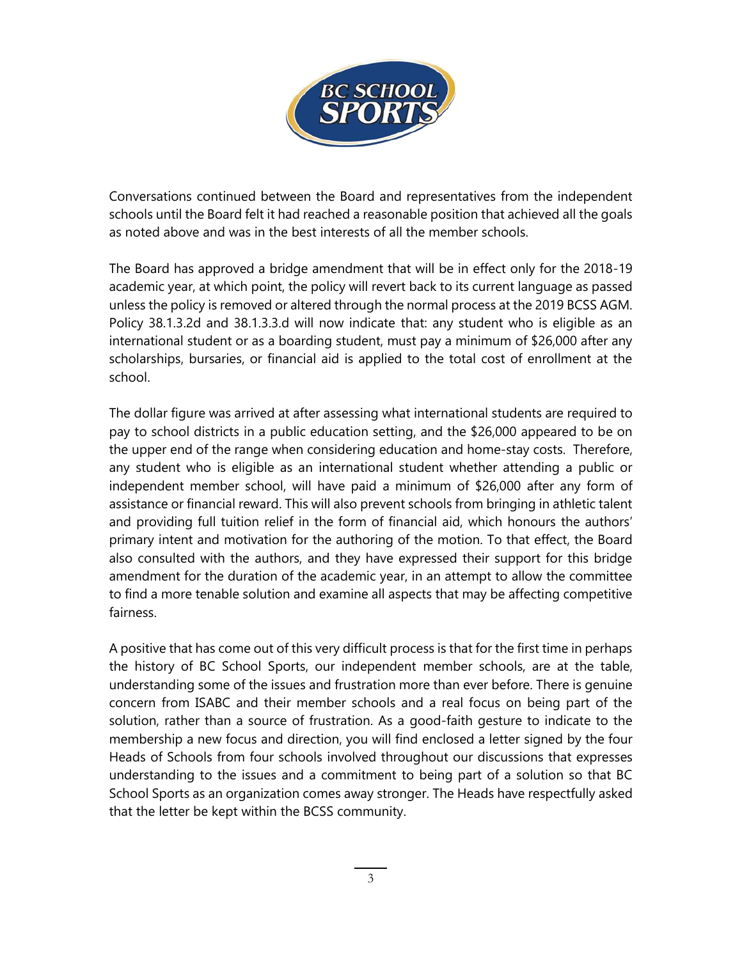

Conversations continued between the Board and representatives from the independent schools until the Board felt it had reached a reasonable position that achieved all the goals as noted above and was in the best interests of all the member schools.

The Board has approved a bridge amendment that will be in effect only for the 2018-19 academic year, at which point, the policy will revert back to its current language as passed unless the policy is removed or altered through the normal process at the 2019 BCSS AGM. Policy 38.1.3.2d and 38.1.3.3.d will now indicate that: any student who is eligible as an international student or as a boarding student, must pay a minimum of \$26,000 after any scholarships, bursaries, or financial aid is applied to the total cost of enrollment at the school.

The dollar figure was arrived at after assessing what international students are required to pay to school districts in a public education setting, and the \$26,000 appeared to be on the upper end of the range when considering education and home-stay costs. Therefore, any student who is eligible as an international student whether attending a public or independent member school, will have paid a minimum of \$26,000 after any form of assistance or financial reward. This will also prevent schools from bringing in athletic talent and providing full tuition relief in the form of financial aid, which honours the authors' primary intent and motivation for the authoring of the motion. To that effect, the Board also consulted with the authors, and they have expressed their support for this bridge amendment for the duration of the academic year, in an attempt to allow the committee to find a more tenable solution and examine all aspects that may be affecting competitive fairness.

A positive that has come out of this very difficult process is that for the first time in perhaps the history of BC School Sports, our independent member schools, are at the table, understanding some of the issues and frustration more than ever before. There is genuine concern from ISABC and their member schools and a real focus on being part of the solution, rather than a source of frustration. As a good-faith gesture to indicate to the membership a new focus and direction, you will find enclosed a letter signed by the four Heads of Schools from four schools involved throughout our discussions that expresses understanding to the issues and a commitment to being part of a solution so that BC School Sports as an organization comes away stronger. The Heads have respectfully asked that the letter be kept within the BCSS community.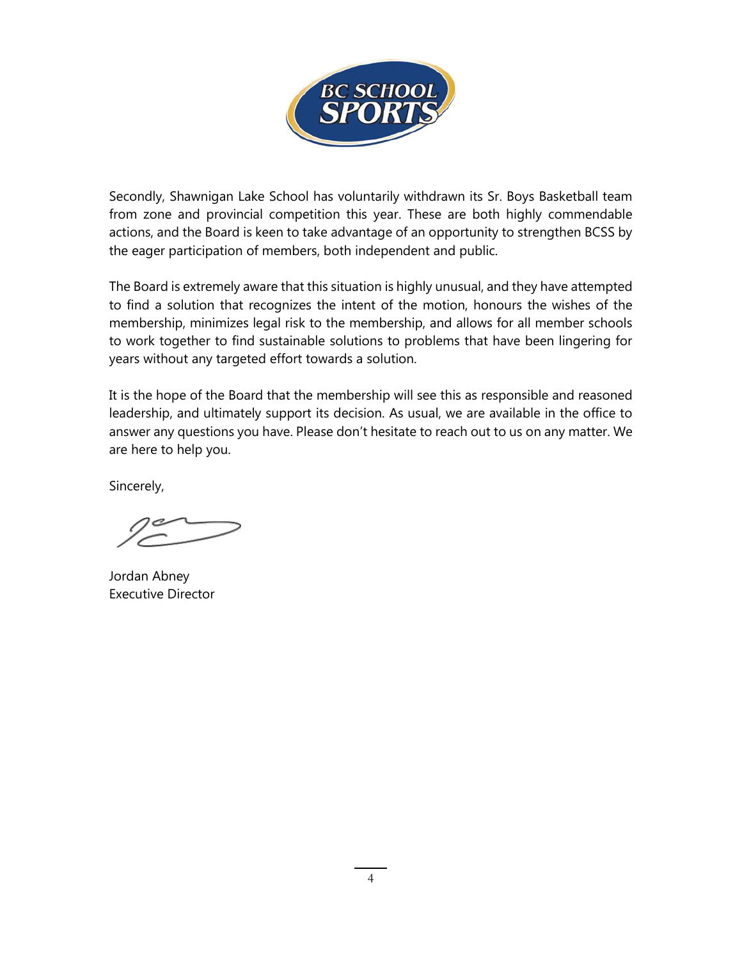

Secondly, Shawnigan Lake School has voluntarily withdrawn its Sr. Boys Basketball team from zone and provincial competition this year. These are both highly commendable actions, and the Board is keen to take advantage of an opportunity to strengthen BCSS by the eager participation of members, both independent and public.

The Board is extremely aware that this situation is highly unusual, and they have attempted to find a solution that recognizes the intent of the motion, honours the wishes of the membership, minimizes legal risk to the membership, and allows for all member schools to work together to find sustainable solutions to problems that have been lingering for years without any targeted effort towards a solution.

It is the hope of the Board that the membership will see this as responsible and reasoned leadership, and ultimately support its decision. As usual, we are available in the office to answer any questions you have. Please don't hesitate to reach out to us on any matter. We are here to help you.

Sincerely,

Jordan Abney Executive Director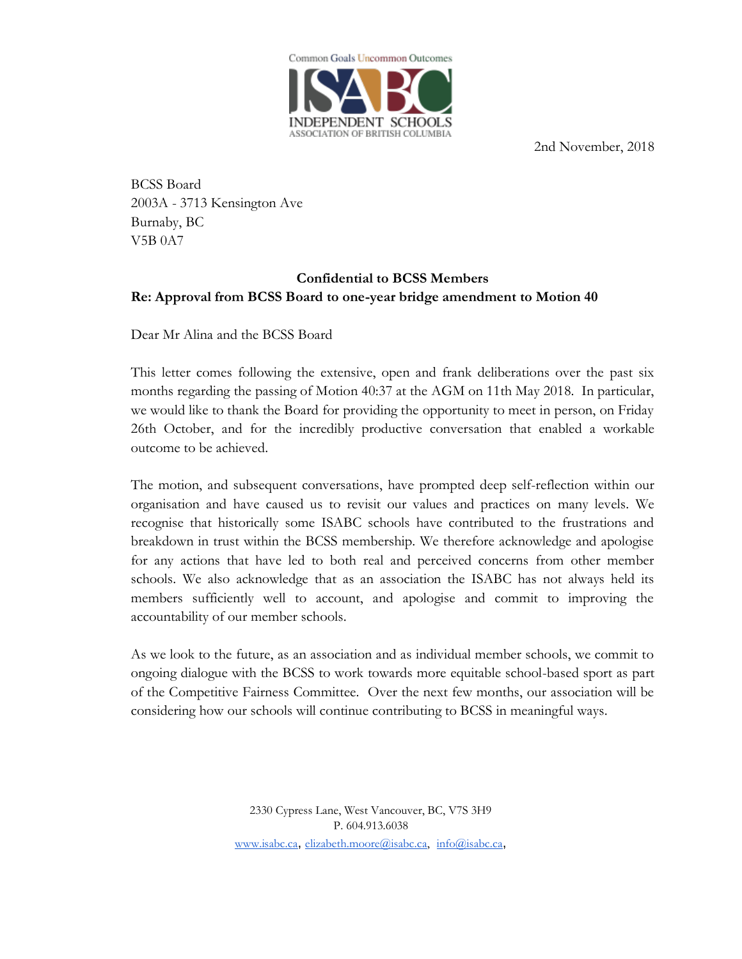

2nd November, 2018

BCSS Board 2003A - 3713 Kensington Ave Burnaby, BC V5B 0A7

## **Confidential to BCSS Members Re: Approval from BCSS Board to one-year bridge amendment to Motion 40**

Dear Mr Alina and the BCSS Board

This letter comes following the extensive, open and frank deliberations over the past six months regarding the passing of Motion 40:37 at the AGM on 11th May 2018. In particular, we would like to thank the Board for providing the opportunity to meet in person, on Friday 26th October, and for the incredibly productive conversation that enabled a workable outcome to be achieved.

The motion, and subsequent conversations, have prompted deep self-reflection within our organisation and have caused us to revisit our values and practices on many levels. We recognise that historically some ISABC schools have contributed to the frustrations and breakdown in trust within the BCSS membership. We therefore acknowledge and apologise for any actions that have led to both real and perceived concerns from other member schools. We also acknowledge that as an association the ISABC has not always held its members sufficiently well to account, and apologise and commit to improving the accountability of our member schools.

As we look to the future, as an association and as individual member schools, we commit to ongoing dialogue with the BCSS to work towards more equitable school-based sport as part of the Competitive Fairness Committee. Over the next few months, our association will be considering how our schools will continue contributing to BCSS in meaningful ways.

> 2330 Cypress Lane, West Vancouver, BC, V7S 3H9 P. 604.913.6038 [www.isabc.ca](http://www.isabc.ca/), [elizabeth.moore@isabc.ca,](mailto:elizabeth.moore@isabc.ca) [info@isabc.ca](mailto:info@isabc.ca),